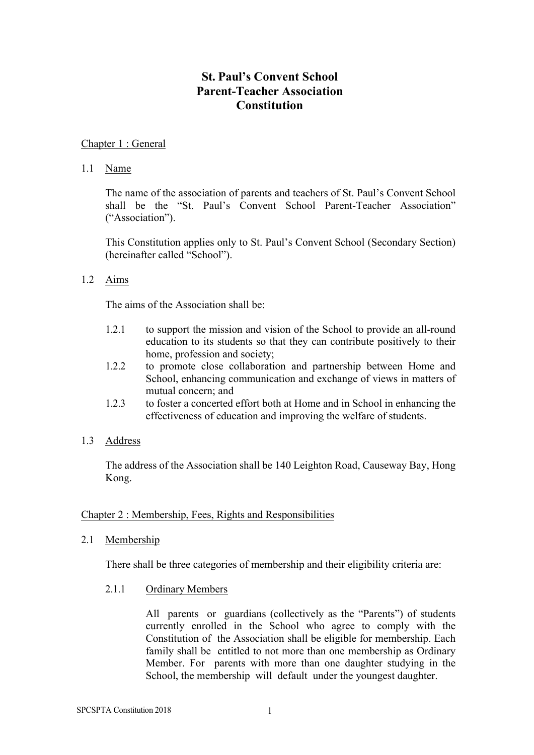# **St. Paul's Convent School Parent-Teacher Association Constitution**

## Chapter 1 : General

### 1.1 Name

The name of the association of parents and teachers of St. Paul's Convent School shall be the "St. Paul's Convent School Parent-Teacher Association" ("Association").

This Constitution applies only to St. Paul's Convent School (Secondary Section) (hereinafter called "School").

### 1.2 Aims

The aims of the Association shall be:

- 1.2.1 to support the mission and vision of the School to provide an all-round education to its students so that they can contribute positively to their home, profession and society;
- 1.2.2 to promote close collaboration and partnership between Home and School, enhancing communication and exchange of views in matters of mutual concern; and
- 1.2.3 to foster a concerted effort both at Home and in School in enhancing the effectiveness of education and improving the welfare of students.
- 1.3 Address

The address of the Association shall be 140 Leighton Road, Causeway Bay, Hong Kong.

### Chapter 2 : Membership, Fees, Rights and Responsibilities

2.1 Membership

There shall be three categories of membership and their eligibility criteria are:

2.1.1 Ordinary Members

All parents or guardians (collectively as the "Parents") of students currently enrolled in the School who agree to comply with the Constitution of the Association shall be eligible for membership. Each family shall be entitled to not more than one membership as Ordinary Member. For parents with more than one daughter studying in the School, the membership will default under the youngest daughter.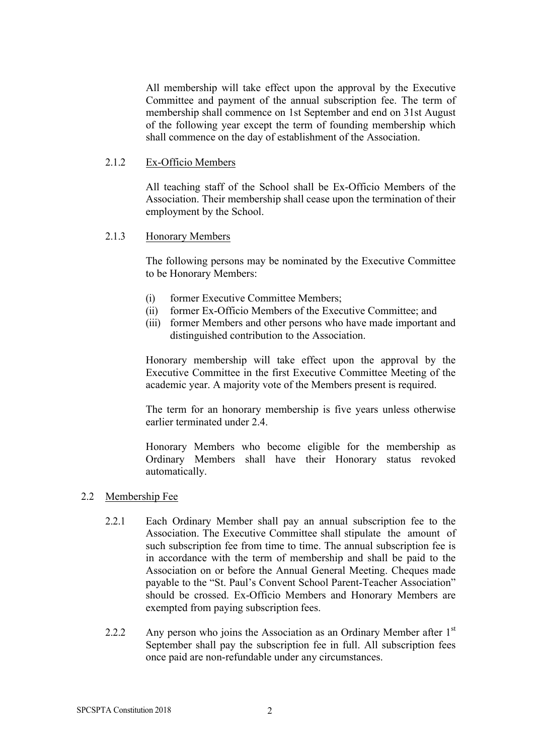All membership will take effect upon the approval by the Executive Committee and payment of the annual subscription fee. The term of membership shall commence on 1st September and end on 31st August of the following year except the term of founding membership which shall commence on the day of establishment of the Association.

#### 2.1.2 Ex-Officio Members

All teaching staff of the School shall be Ex-Officio Members of the Association. Their membership shall cease upon the termination of their employment by the School.

#### 2.1.3 Honorary Members

The following persons may be nominated by the Executive Committee to be Honorary Members:

- (i) former Executive Committee Members;
- (ii) former Ex-Officio Members of the Executive Committee; and
- (iii) former Members and other persons who have made important and distinguished contribution to the Association.

Honorary membership will take effect upon the approval by the Executive Committee in the first Executive Committee Meeting of the academic year. A majority vote of the Members present is required.

The term for an honorary membership is five years unless otherwise earlier terminated under 2.4.

Honorary Members who become eligible for the membership as Ordinary Members shall have their Honorary status revoked automatically.

#### 2.2 Membership Fee

- 2.2.1 Each Ordinary Member shall pay an annual subscription fee to the Association. The Executive Committee shall stipulate the amount of such subscription fee from time to time. The annual subscription fee is in accordance with the term of membership and shall be paid to the Association on or before the Annual General Meeting. Cheques made payable to the "St. Paul's Convent School Parent-Teacher Association" should be crossed. Ex-Officio Members and Honorary Members are exempted from paying subscription fees.
- 2.2.2 Any person who joins the Association as an Ordinary Member after  $1<sup>st</sup>$ September shall pay the subscription fee in full. All subscription fees once paid are non-refundable under any circumstances.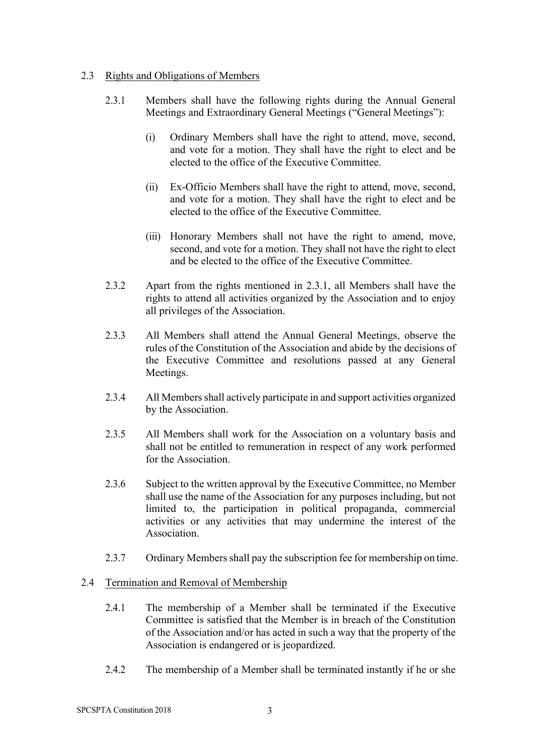## 2.3 Rights and Obligations of Members

- 2.3.1 Members shall have the following rights during the Annual General Meetings and Extraordinary General Meetings ("General Meetings"):
	- (i) Ordinary Members shall have the right to attend, move, second, and vote for a motion. They shall have the right to elect and be elected to the office of the Executive Committee.
	- (ii) Ex-Officio Members shall have the right to attend, move, second, and vote for a motion. They shall have the right to elect and be elected to the office of the Executive Committee.
	- (iii) Honorary Members shall not have the right to amend, move, second, and vote for a motion. They shall not have the right to elect and be elected to the office of the Executive Committee.
- 2.3.2 Apart from the rights mentioned in 2.3.1, all Members shall have the rights to attend all activities organized by the Association and to enjoy all privileges of the Association.
- 2.3.3 All Members shall attend the Annual General Meetings, observe the rules of the Constitution of the Association and abide by the decisions of the Executive Committee and resolutions passed at any General Meetings.
- 2.3.4 All Members shall actively participate in and support activities organized by the Association.
- 2.3.5 All Members shall work for the Association on a voluntary basis and shall not be entitled to remuneration in respect of any work performed for the Association.
- 2.3.6 Subject to the written approval by the Executive Committee, no Member shall use the name of the Association for any purposes including, but not limited to, the participation in political propaganda, commercial activities or any activities that may undermine the interest of the Association.
- 2.3.7 Ordinary Members shall pay the subscription fee for membership on time.

### 2.4 Termination and Removal of Membership

- 2.4.1 The membership of a Member shall be terminated if the Executive Committee is satisfied that the Member is in breach of the Constitution of the Association and/or has acted in such a way that the property of the Association is endangered or is jeopardized.
- 2.4.2 The membership of a Member shall be terminated instantly if he or she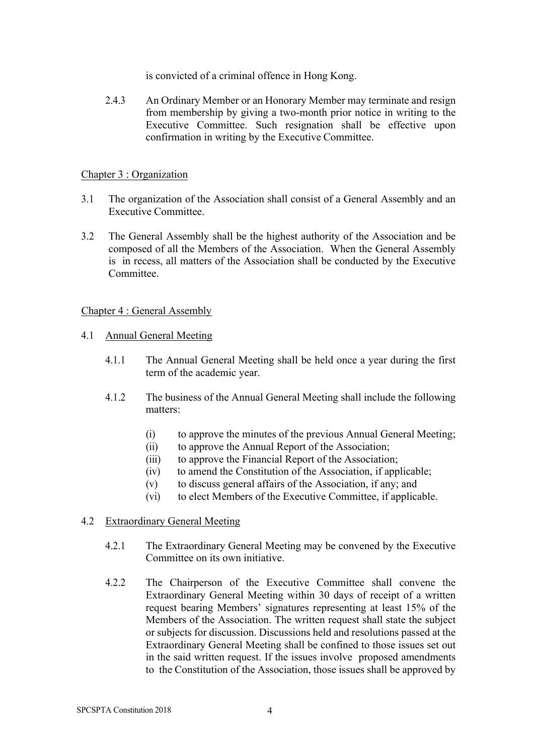is convicted of a criminal offence in Hong Kong.

2.4.3 An Ordinary Member or an Honorary Member may terminate and resign from membership by giving a two-month prior notice in writing to the Executive Committee. Such resignation shall be effective upon confirmation in writing by the Executive Committee.

## Chapter 3 : Organization

- 3.1 The organization of the Association shall consist of a General Assembly and an Executive Committee.
- 3.2 The General Assembly shall be the highest authority of the Association and be composed of all the Members of the Association. When the General Assembly is in recess, all matters of the Association shall be conducted by the Executive **Committee**

### Chapter 4 : General Assembly

- 4.1 Annual General Meeting
	- 4.1.1 The Annual General Meeting shall be held once a year during the first term of the academic year.
	- 4.1.2 The business of the Annual General Meeting shall include the following matters:
		- (i) to approve the minutes of the previous Annual General Meeting;
		- (ii) to approve the Annual Report of the Association;
		- (iii) to approve the Financial Report of the Association;
		- (iv) to amend the Constitution of the Association, if applicable;
		- (v) to discuss general affairs of the Association, if any; and
		- (vi) to elect Members of the Executive Committee, if applicable.

### 4.2 Extraordinary General Meeting

- 4.2.1 The Extraordinary General Meeting may be convened by the Executive Committee on its own initiative.
- 4.2.2 The Chairperson of the Executive Committee shall convene the Extraordinary General Meeting within 30 days of receipt of a written request bearing Members' signatures representing at least 15% of the Members of the Association. The written request shall state the subject or subjects for discussion. Discussions held and resolutions passed at the Extraordinary General Meeting shall be confined to those issues set out in the said written request. If the issues involve proposed amendments to the Constitution of the Association, those issues shall be approved by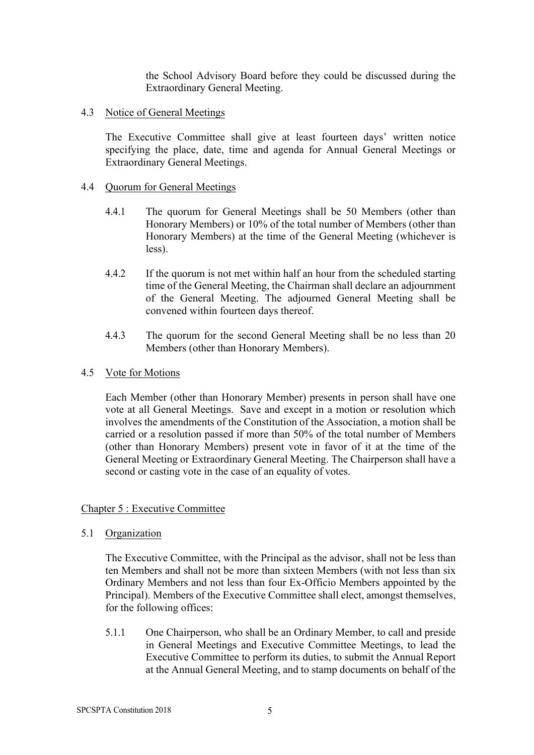the School Advisory Board before they could be discussed during the Extraordinary General Meeting.

4.3 Notice of General Meetings

The Executive Committee shall give at least fourteen days' written notice specifying the place, date, time and agenda for Annual General Meetings or Extraordinary General Meetings.

## 4.4 Quorum for General Meetings

- 4.4.1 The quorum for General Meetings shall be 50 Members (other than Honorary Members) or 10% of the total number of Members (other than Honorary Members) at the time of the General Meeting (whichever is less).
- 4.4.2 If the quorum is not met within half an hour from the scheduled starting time of the General Meeting, the Chairman shall declare an adjournment of the General Meeting. The adjourned General Meeting shall be convened within fourteen days thereof.
- 4.4.3 The quorum for the second General Meeting shall be no less than 20 Members (other than Honorary Members).
- 4.5 Vote for Motions

Each Member (other than Honorary Member) presents in person shall have one vote at all General Meetings. Save and except in a motion or resolution which involves the amendments of the Constitution of the Association, a motion shall be carried or a resolution passed if more than 50% of the total number of Members (other than Honorary Members) present vote in favor of it at the time of the General Meeting or Extraordinary General Meeting. The Chairperson shall have a second or casting vote in the case of an equality of votes.

# Chapter 5 : Executive Committee

5.1 Organization

The Executive Committee, with the Principal as the advisor, shall not be less than ten Members and shall not be more than sixteen Members (with not less than six Ordinary Members and not less than four Ex-Officio Members appointed by the Principal). Members of the Executive Committee shall elect, amongst themselves, for the following offices:

5.1.1 One Chairperson, who shall be an Ordinary Member, to call and preside in General Meetings and Executive Committee Meetings, to lead the Executive Committee to perform its duties, to submit the Annual Report at the Annual General Meeting, and to stamp documents on behalf of the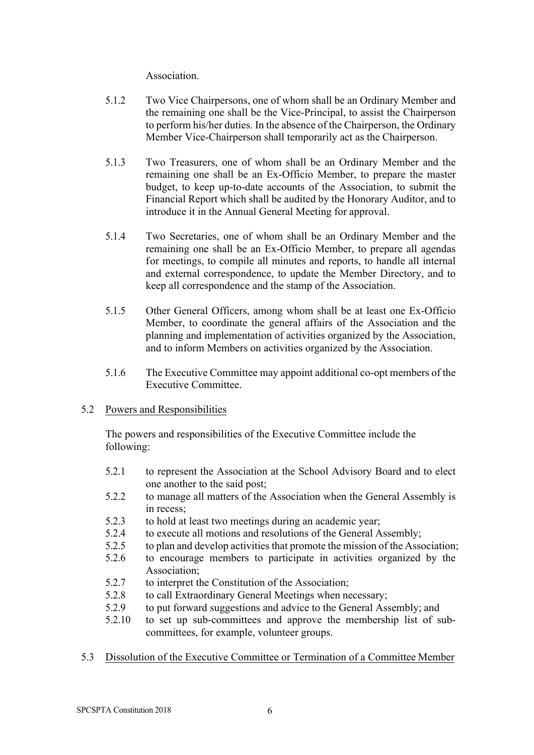**Association** 

- 5.1.2 Two Vice Chairpersons, one of whom shall be an Ordinary Member and the remaining one shall be the Vice-Principal, to assist the Chairperson to perform his/her duties. In the absence of the Chairperson, the Ordinary Member Vice-Chairperson shall temporarily act as the Chairperson.
- 5.1.3 Two Treasurers, one of whom shall be an Ordinary Member and the remaining one shall be an Ex-Officio Member, to prepare the master budget, to keep up-to-date accounts of the Association, to submit the Financial Report which shall be audited by the Honorary Auditor, and to introduce it in the Annual General Meeting for approval.
- 5.1.4 Two Secretaries, one of whom shall be an Ordinary Member and the remaining one shall be an Ex-Officio Member, to prepare all agendas for meetings, to compile all minutes and reports, to handle all internal and external correspondence, to update the Member Directory, and to keep all correspondence and the stamp of the Association.
- 5.1.5 Other General Officers, among whom shall be at least one Ex-Officio Member, to coordinate the general affairs of the Association and the planning and implementation of activities organized by the Association, and to inform Members on activities organized by the Association.
- 5.1.6 The Executive Committee may appoint additional co-opt members of the Executive Committee.

# 5.2 Powers and Responsibilities

The powers and responsibilities of the Executive Committee include the following:

- 5.2.1 to represent the Association at the School Advisory Board and to elect one another to the said post;
- 5.2.2 to manage all matters of the Association when the General Assembly is in recess:
- 5.2.3 to hold at least two meetings during an academic year;
- 5.2.4 to execute all motions and resolutions of the General Assembly;
- 5.2.5 to plan and develop activities that promote the mission of the Association;
- 5.2.6 to encourage members to participate in activities organized by the Association;
- 5.2.7 to interpret the Constitution of the Association;
- 5.2.8 to call Extraordinary General Meetings when necessary;
- 5.2.9 to put forward suggestions and advice to the General Assembly; and
- 5.2.10 to set up sub-committees and approve the membership list of subcommittees, for example, volunteer groups.
- 5.3 Dissolution of the Executive Committee or Termination of a Committee Member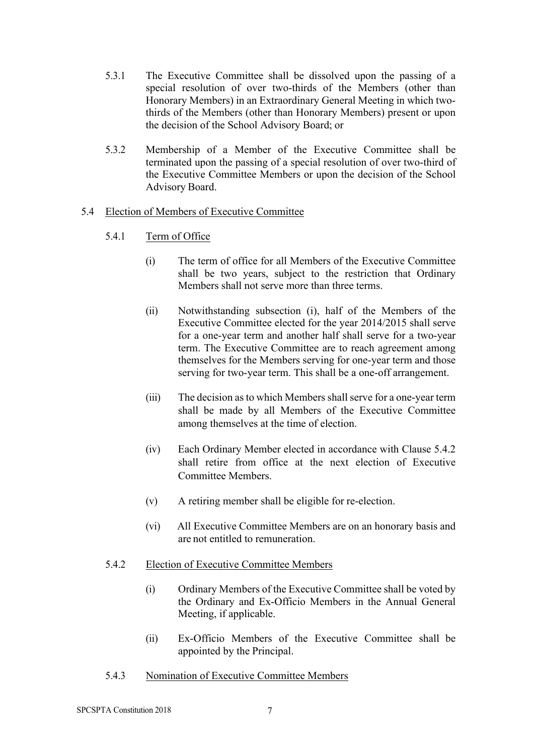- 5.3.1 The Executive Committee shall be dissolved upon the passing of a special resolution of over two-thirds of the Members (other than Honorary Members) in an Extraordinary General Meeting in which twothirds of the Members (other than Honorary Members) present or upon the decision of the School Advisory Board; or
- 5.3.2 Membership of a Member of the Executive Committee shall be terminated upon the passing of a special resolution of over two-third of the Executive Committee Members or upon the decision of the School Advisory Board.

# 5.4 Election of Members of Executive Committee

- 5.4.1 Term of Office
	- (i) The term of office for all Members of the Executive Committee shall be two years, subject to the restriction that Ordinary Members shall not serve more than three terms.
	- (ii) Notwithstanding subsection (i), half of the Members of the Executive Committee elected for the year 2014/2015 shall serve for a one-year term and another half shall serve for a two-year term. The Executive Committee are to reach agreement among themselves for the Members serving for one-year term and those serving for two-year term. This shall be a one-off arrangement.
	- (iii) The decision as to which Members shall serve for a one-year term shall be made by all Members of the Executive Committee among themselves at the time of election.
	- (iv) Each Ordinary Member elected in accordance with Clause 5.4.2 shall retire from office at the next election of Executive Committee Members.
	- (v) A retiring member shall be eligible for re-election.
	- (vi) All Executive Committee Members are on an honorary basis and are not entitled to remuneration.
- 5.4.2 Election of Executive Committee Members
	- (i) Ordinary Members of the Executive Committee shall be voted by the Ordinary and Ex-Officio Members in the Annual General Meeting, if applicable.
	- (ii) Ex-Officio Members of the Executive Committee shall be appointed by the Principal.
- 5.4.3 Nomination of Executive Committee Members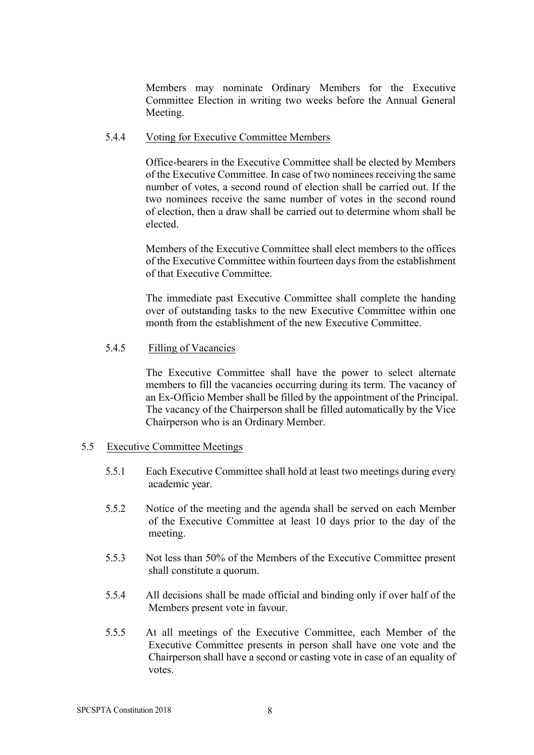Members may nominate Ordinary Members for the Executive Committee Election in writing two weeks before the Annual General Meeting.

#### 5.4.4 Voting for Executive Committee Members

Office-bearers in the Executive Committee shall be elected by Members of the Executive Committee. In case of two nominees receiving the same number of votes, a second round of election shall be carried out. If the two nominees receive the same number of votes in the second round of election, then a draw shall be carried out to determine whom shall be elected.

Members of the Executive Committee shall elect members to the offices of the Executive Committee within fourteen days from the establishment of that Executive Committee.

The immediate past Executive Committee shall complete the handing over of outstanding tasks to the new Executive Committee within one month from the establishment of the new Executive Committee.

### 5.4.5 Filling of Vacancies

The Executive Committee shall have the power to select alternate members to fill the vacancies occurring during its term. The vacancy of an Ex-Officio Member shall be filled by the appointment of the Principal. The vacancy of the Chairperson shall be filled automatically by the Vice Chairperson who is an Ordinary Member.

#### 5.5 Executive Committee Meetings

- 5.5.1 Each Executive Committee shall hold at least two meetings during every academic year.
- 5.5.2 Notice of the meeting and the agenda shall be served on each Member of the Executive Committee at least 10 days prior to the day of the meeting.
- 5.5.3 Not less than 50% of the Members of the Executive Committee present shall constitute a quorum.
- 5.5.4 All decisions shall be made official and binding only if over half of the Members present vote in favour.
- 5.5.5 At all meetings of the Executive Committee, each Member of the Executive Committee presents in person shall have one vote and the Chairperson shall have a second or casting vote in case of an equality of votes.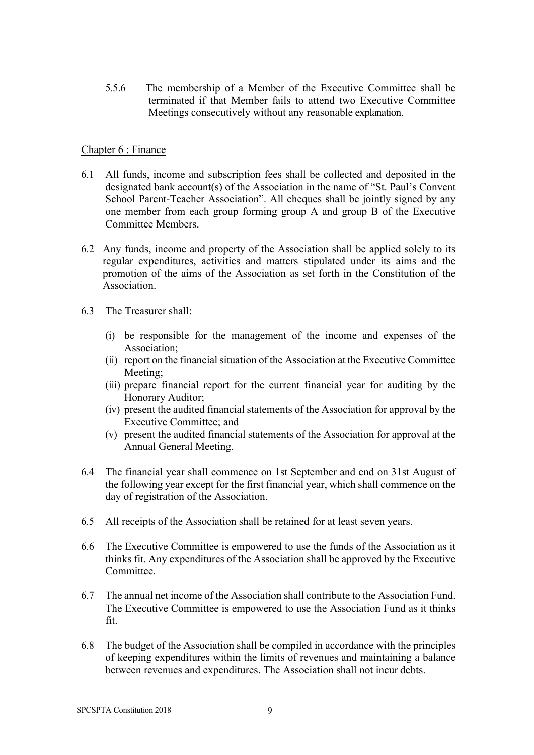5.5.6 The membership of a Member of the Executive Committee shall be terminated if that Member fails to attend two Executive Committee Meetings consecutively without any reasonable explanation.

### Chapter 6 : Finance

- 6.1 All funds, income and subscription fees shall be collected and deposited in the designated bank account(s) of the Association in the name of "St. Paul's Convent School Parent-Teacher Association". All cheques shall be jointly signed by any one member from each group forming group A and group B of the Executive Committee Members.
- 6.2 Any funds, income and property of the Association shall be applied solely to its regular expenditures, activities and matters stipulated under its aims and the promotion of the aims of the Association as set forth in the Constitution of the Association.
- 6.3 The Treasurer shall:
	- (i) be responsible for the management of the income and expenses of the Association;
	- (ii) report on the financial situation of the Association at the Executive Committee Meeting<sup>.</sup>
	- (iii) prepare financial report for the current financial year for auditing by the Honorary Auditor;
	- (iv) present the audited financial statements of the Association for approval by the Executive Committee; and
	- (v) present the audited financial statements of the Association for approval at the Annual General Meeting.
- 6.4 The financial year shall commence on 1st September and end on 31st August of the following year except for the first financial year, which shall commence on the day of registration of the Association.
- 6.5 All receipts of the Association shall be retained for at least seven years.
- 6.6 The Executive Committee is empowered to use the funds of the Association as it thinks fit. Any expenditures of the Association shall be approved by the Executive **Committee**
- 6.7 The annual net income of the Association shall contribute to the Association Fund. The Executive Committee is empowered to use the Association Fund as it thinks fit.
- 6.8 The budget of the Association shall be compiled in accordance with the principles of keeping expenditures within the limits of revenues and maintaining a balance between revenues and expenditures. The Association shall not incur debts.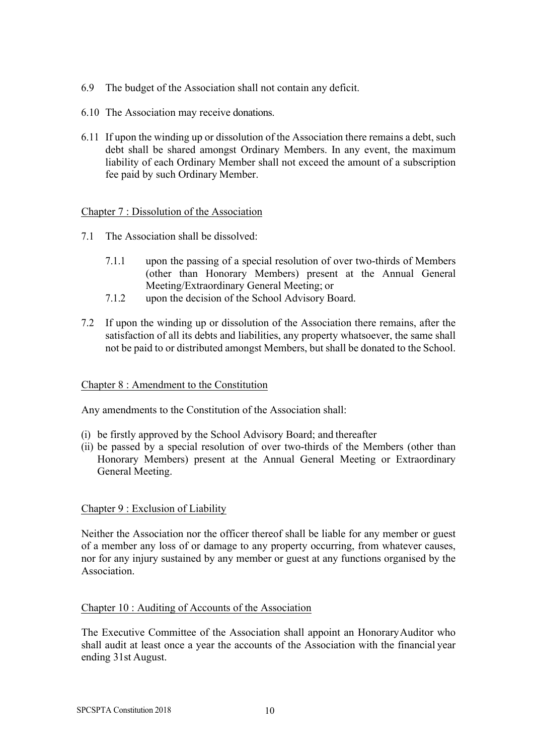- 6.9 The budget of the Association shall not contain any deficit.
- 6.10 The Association may receive donations.
- 6.11 If upon the winding up or dissolution of the Association there remains a debt, such debt shall be shared amongst Ordinary Members. In any event, the maximum liability of each Ordinary Member shall not exceed the amount of a subscription fee paid by such Ordinary Member.

Chapter 7 : Dissolution of the Association

- 7.1 The Association shall be dissolved:
	- 7.1.1 upon the passing of a special resolution of over two-thirds of Members (other than Honorary Members) present at the Annual General Meeting/Extraordinary General Meeting; or
	- 7.1.2 upon the decision of the School Advisory Board.
- 7.2 If upon the winding up or dissolution of the Association there remains, after the satisfaction of all its debts and liabilities, any property whatsoever, the same shall not be paid to or distributed amongst Members, but shall be donated to the School.

### Chapter 8 : Amendment to the Constitution

Any amendments to the Constitution of the Association shall:

- (i) be firstly approved by the School Advisory Board; and thereafter
- (ii) be passed by a special resolution of over two-thirds of the Members (other than Honorary Members) present at the Annual General Meeting or Extraordinary General Meeting.

### Chapter 9 : Exclusion of Liability

Neither the Association nor the officer thereof shall be liable for any member or guest of a member any loss of or damage to any property occurring, from whatever causes, nor for any injury sustained by any member or guest at any functions organised by the **Association** 

### Chapter 10 : Auditing of Accounts of the Association

The Executive Committee of the Association shall appoint an HonoraryAuditor who shall audit at least once a year the accounts of the Association with the financial year ending 31st August.